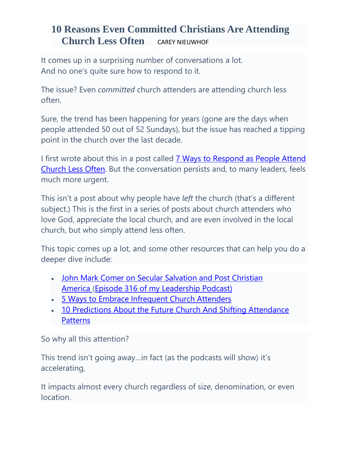# **10 Reasons Even Committed Christians Are Attending Church Less Often** [CAREY NIEUWHOF](https://careynieuwhof.com/author/carey/)

It comes up in a surprising number of conversations a lot. And no one's quite sure how to respond to it.

The issue? Even *committed* church attenders are attending church less often.

Sure, the trend has been happening for years (gone are the days when people attended 50 out of 52 Sundays), but the issue has reached a tipping point in the church over the last decade.

I first wrote about this in a post called **[7 Ways to Respond as](https://careynieuwhof.com/2013/04/7-ways-to-respond-as-people-attend-church-less-often/) People Attend** [Church Less Often.](https://careynieuwhof.com/2013/04/7-ways-to-respond-as-people-attend-church-less-often/) But the conversation persists and, to many leaders, feels much more urgent.

This isn't a post about why people have *left* the church (that's a different subject.) This is the first in a series of posts about church attenders who love God, appreciate the local church, and are even involved in the local church, but who simply attend less often.

This topic comes up a lot, and some other resources that can help you do a deeper dive include:

- John Mark Comer on Secular Salvation and Post Christian [America](https://podcasts.apple.com/us/podcast/cnlp-316-john-mark-comer-on-secular-salvation-post/id912753163?i=1000463255648) [\(Episode 316 of my Leadership Podcast\)](https://podcasts.apple.com/us/podcast/cnlp-316-john-mark-comer-on-secular-salvation-post/id912753163?i=1000463255648)
- [5 Ways to Embrace Infrequent Church Attenders](https://careynieuwhof.com/2015/02/5-ways-to-embrace-infrequent-church-attenders/)
- [10 Predictions About the Future Church And Shifting Attendance](https://careynieuwhof.com/2015/02/10-predictions-about-the-future-church-and-shifting-attendance-patterns/)  **[Patterns](https://careynieuwhof.com/2015/02/10-predictions-about-the-future-church-and-shifting-attendance-patterns/)**

So why all this attention?

This trend isn't going away…in fact (as the podcasts will show) it's accelerating,

It impacts almost every church regardless of size, denomination, or even location.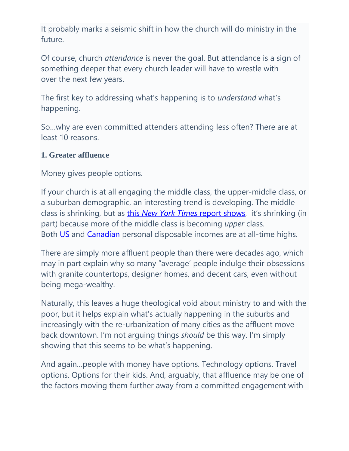It probably marks a seismic shift in how the church will do ministry in the future.

Of course, church *attendance* is never the goal. But attendance is a sign of something deeper that every church leader will have to wrestle with over the next few years.

The first key to addressing what's happening is to *understand* what's happening.

So…why are even committed attenders attending less often? There are at least 10 reasons.

### **1. Greater affluence**

Money gives people options.

If your church is at all engaging the middle class, the upper-middle class, or a suburban demographic, an interesting trend is developing. The middle class is shrinking, but as this *New York Times* [report shows,](http://www.nytimes.com/interactive/2015/01/25/upshot/shrinking-middle-class.html?_r=0&abt=0002&abg=1) it's shrinking (in part) because more of the middle class is becoming *upper* class. Both [US](http://www.tradingeconomics.com/united-states/disposable-personal-income) and [Canadian](http://www.tradingeconomics.com/canada/disposable-personal-income) personal disposable incomes are at all-time highs.

There are simply more affluent people than there were decades ago, which may in part explain why so many "average' people indulge their obsessions with granite countertops, designer homes, and decent cars, even without being mega-wealthy.

Naturally, this leaves a huge theological void about ministry to and with the poor, but it helps explain what's actually happening in the suburbs and increasingly with the re-urbanization of many cities as the affluent move back downtown. I'm not arguing things *should* be this way. I'm simply showing that this seems to be what's happening.

And again…people with money have options. Technology options. Travel options. Options for their kids. And, arguably, that affluence may be one of the factors moving them further away from a committed engagement with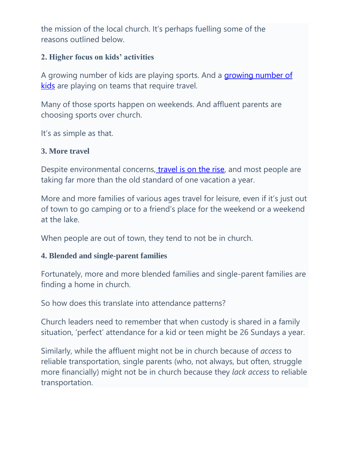the mission of the local church. It's perhaps fuelling some of the reasons outlined below.

### **2. Higher focus on kids' activities**

A growing number of kids are playing sports. And a [growing number of](http://www.cnbc.com/id/101929871)  [kids](http://www.cnbc.com/id/101929871) are playing on teams that require travel.

Many of those sports happen on weekends. And affluent parents are choosing sports over church.

It's as simple as that.

### **3. More travel**

Despite environmental concerns, [travel is on the rise,](https://www.cnbc.com/2019/08/30/millennials-making-travel-a-priority-more-than-previous-generations.html) and most people are taking far more than the old standard of one vacation a year.

More and more families of various ages travel for leisure, even if it's just out of town to go camping or to a friend's place for the weekend or a weekend at the lake.

When people are out of town, they tend to not be in church.

### **4. Blended and single-parent families**

Fortunately, more and more blended families and single-parent families are finding a home in church.

So how does this translate into attendance patterns?

Church leaders need to remember that when custody is shared in a family situation, 'perfect' attendance for a kid or teen might be 26 Sundays a year.

Similarly, while the affluent might not be in church because of *access* to reliable transportation, single parents (who, not always, but often, struggle more financially) might not be in church because they *lack access* to reliable transportation.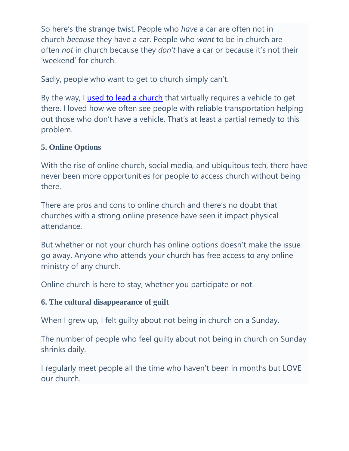So here's the strange twist. People who *have* a car are often not in church *because* they have a car. People who *want* to be in church are often *not* in church because they *don't* have a car or because it's not their 'weekend' for church.

Sadly, people who want to get to church simply can't.

By the way, I [used to lead a church](http://connexuschurch.com/) that virtually requires a vehicle to get there. I loved how we often see people with reliable transportation helping out those who don't have a vehicle. That's at least a partial remedy to this problem.

## **5. Online Options**

With the rise of online church, social media, and ubiquitous tech, there have never been more opportunities for people to access church without being there.

There are pros and cons to online church and there's no doubt that churches with a strong online presence have seen it impact physical attendance.

But whether or not your church has online options doesn't make the issue go away. Anyone who attends your church has free access to any online ministry of any church.

Online church is here to stay, whether you participate or not.

# **6. The cultural disappearance of guilt**

When I grew up, I felt guilty about not being in church on a Sunday.

The number of people who feel guilty about not being in church on Sunday shrinks daily.

I regularly meet people all the time who haven't been in months but LOVE our church.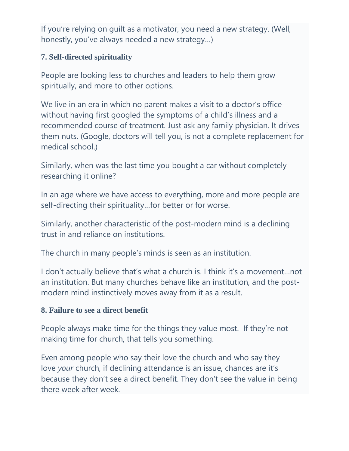If you're relying on guilt as a motivator, you need a new strategy. (Well, honestly, you've always needed a new strategy…)

### **7. Self-directed spirituality**

People are looking less to churches and leaders to help them grow spiritually, and more to other options.

We live in an era in which no parent makes a visit to a doctor's office without having first googled the symptoms of a child's illness and a recommended course of treatment. Just ask any family physician. It drives them nuts. (Google, doctors will tell you, is not a complete replacement for medical school.)

Similarly, when was the last time you bought a car without completely researching it online?

In an age where we have access to everything, more and more people are self-directing their spirituality…for better or for worse.

Similarly, another characteristic of the post-modern mind is a declining trust in and reliance on institutions.

The church in many people's minds is seen as an institution.

I don't actually believe that's what a church is. I think it's a movement…not an institution. But many churches behave like an institution, and the postmodern mind instinctively moves away from it as a result.

### **8. Failure to see a direct benefit**

People always make time for the things they value most. If they're not making time for church, that tells you something.

Even among people who say their love the church and who say they love *your* church, if declining attendance is an issue, chances are it's because they don't see a direct benefit. They don't see the value in being there week after week.